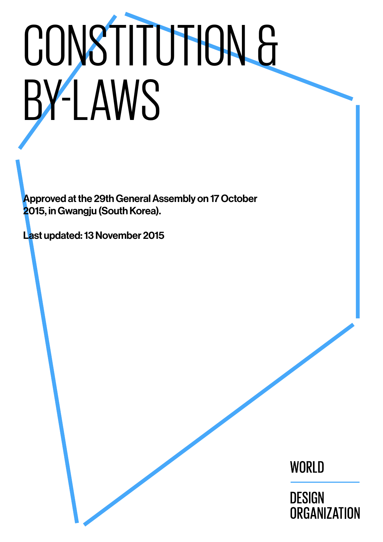# CONSTITUTION & BY-LAWS

Approved at the 29th General Assembly on 17 October 2015, in Gwangju (South Korea).

Last updated: 13 November 2015

WORLD

**DESIGN** ORGANIZATION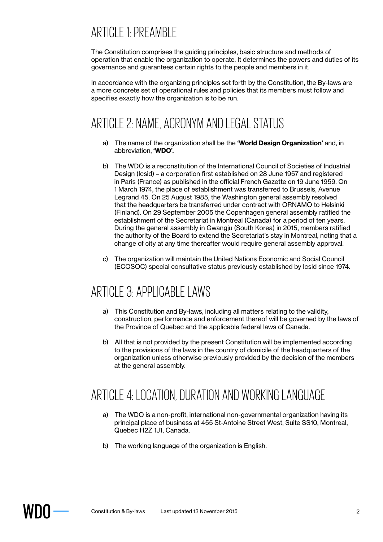# ARTICLE 1: PREAMBLE

The Constitution comprises the guiding principles, basic structure and methods of operation that enable the organization to operate. It determines the powers and duties of its governance and guarantees certain rights to the people and members in it.

In accordance with the organizing principles set forth by the Constitution, the By-laws are a more concrete set of operational rules and policies that its members must follow and specifies exactly how the organization is to be run.

# ARTICLE 2: NAME, ACRONYM AND LEGAL STATUS

- a) The name of the organization shall be the **'World Design Organization'** and, in abbreviation, **'WDO'**.
- b) The WDO is a reconstitution of the International Council of Societies of Industrial Design (Icsid) – a corporation first established on 28 June 1957 and registered in Paris (France) as published in the official French Gazette on 19 June 1959. On 1 March 1974, the place of establishment was transferred to Brussels, Avenue Legrand 45. On 25 August 1985, the Washington general assembly resolved that the headquarters be transferred under contract with ORNAMO to Helsinki (Finland). On 29 September 2005 the Copenhagen general assembly ratified the establishment of the Secretariat in Montreal (Canada) for a period of ten years. During the general assembly in Gwangju (South Korea) in 2015, members ratified the authority of the Board to extend the Secretariat's stay in Montreal, noting that a change of city at any time thereafter would require general assembly approval.
- c) The organization will maintain the United Nations Economic and Social Council (ECOSOC) special consultative status previously established by Icsid since 1974.

## ARTICLE 3: APPLICABLE LAWS

- a) This Constitution and By-laws, including all matters relating to the validity, construction, performance and enforcement thereof will be governed by the laws of the Province of Quebec and the applicable federal laws of Canada.
- b) All that is not provided by the present Constitution will be implemented according to the provisions of the laws in the country of domicile of the headquarters of the organization unless otherwise previously provided by the decision of the members at the general assembly.

## ARTICLE 4: LOCATION, DURATION AND WORKING LANGUAGE

- a) The WDO is a non-profit, international non-governmental organization having its principal place of business at 455 St-Antoine Street West, Suite SS10, Montreal, Quebec H2Z 1J1, Canada.
- b) The working language of the organization is English.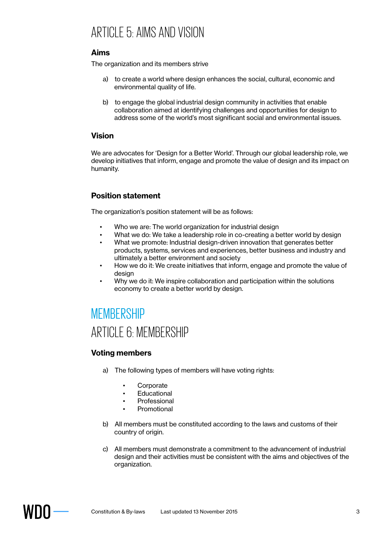## ARTICLE 5: AIMS AND VISION

## **Aims**

The organization and its members strive

- a) to create a world where design enhances the social, cultural, economic and environmental quality of life.
- b) to engage the global industrial design community in activities that enable collaboration aimed at identifying challenges and opportunities for design to address some of the world's most significant social and environmental issues.

## **Vision**

We are advocates for 'Design for a Better World'. Through our global leadership role, we develop initiatives that inform, engage and promote the value of design and its impact on humanity.

## **Position statement**

The organization's position statement will be as follows:

- Who we are: The world organization for industrial design
- What we do: We take a leadership role in co-creating a better world by design
- What we promote: Industrial design-driven innovation that generates better products, systems, services and experiences, better business and industry and ultimately a better environment and society
- How we do it: We create initiatives that inform, engage and promote the value of design
- Why we do it: We inspire collaboration and participation within the solutions economy to create a better world by design.

## **MEMBERSHIP**

## ARTICLE 6: MEMBERSHIP

## **Voting members**

- a) The following types of members will have voting rights:
	- **Corporate**
	- **Educational**
	- **Professional**
	- **Promotional**
- b) All members must be constituted according to the laws and customs of their country of origin.
- c) All members must demonstrate a commitment to the advancement of industrial design and their activities must be consistent with the aims and objectives of the organization.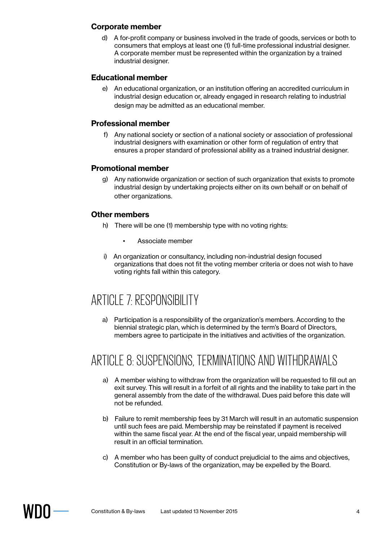#### **Corporate member**

d) A for-profit company or business involved in the trade of goods, services or both to consumers that employs at least one (1) full-time professional industrial designer. A corporate member must be represented within the organization by a trained industrial designer.

## **Educational member**

e) An educational organization, or an institution offering an accredited curriculum in industrial design education or, already engaged in research relating to industrial design may be admitted as an educational member.

## **Professional member**

f) Any national society or section of a national society or association of professional industrial designers with examination or other form of regulation of entry that ensures a proper standard of professional ability as a trained industrial designer.

#### **Promotional member**

g) Any nationwide organization or section of such organization that exists to promote industrial design by undertaking projects either on its own behalf or on behalf of other organizations.

## **Other members**

- h) There will be one (1) membership type with no voting rights:
	- Associate member
- i) An organization or consultancy, including non-industrial design focused organizations that does not fit the voting member criteria or does not wish to have voting rights fall within this category.

## ARTICLE 7: RESPONSIBILITY

a) Participation is a responsibility of the organization's members. According to the biennial strategic plan, which is determined by the term's Board of Directors, members agree to participate in the initiatives and activities of the organization.

## ARTICLE 8: SUSPENSIONS, TERMINATIONS AND WITHDRAWALS

- a) A member wishing to withdraw from the organization will be requested to fill out an exit survey. This will result in a forfeit of all rights and the inability to take part in the general assembly from the date of the withdrawal. Dues paid before this date will not be refunded.
- b) Failure to remit membership fees by 31 March will result in an automatic suspension until such fees are paid. Membership may be reinstated if payment is received within the same fiscal year. At the end of the fiscal year, unpaid membership will result in an official termination.
- c) A member who has been guilty of conduct prejudicial to the aims and objectives, Constitution or By-laws of the organization, may be expelled by the Board.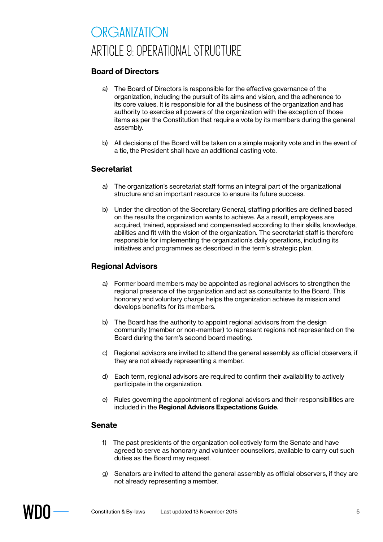# ORGANIZATION ARTICLE 9: OPERATIONAL STRUCTURE

## **Board of Directors**

- a) The Board of Directors is responsible for the effective governance of the organization, including the pursuit of its aims and vision, and the adherence to its core values. It is responsible for all the business of the organization and has authority to exercise all powers of the organization with the exception of those items as per the Constitution that require a vote by its members during the general assembly.
- b) All decisions of the Board will be taken on a simple majority vote and in the event of a tie, the President shall have an additional casting vote.

## **Secretariat**

- a) The organization's secretariat staff forms an integral part of the organizational structure and an important resource to ensure its future success.
- b) Under the direction of the Secretary General, staffing priorities are defined based on the results the organization wants to achieve. As a result, employees are acquired, trained, appraised and compensated according to their skills, knowledge, abilities and fit with the vision of the organization. The secretariat staff is therefore responsible for implementing the organization's daily operations, including its initiatives and programmes as described in the term's strategic plan.

#### **Regional Advisors**

- a) Former board members may be appointed as regional advisors to strengthen the regional presence of the organization and act as consultants to the Board. This honorary and voluntary charge helps the organization achieve its mission and develops benefits for its members.
- b) The Board has the authority to appoint regional advisors from the design community (member or non-member) to represent regions not represented on the Board during the term's second board meeting.
- c) Regional advisors are invited to attend the general assembly as official observers, if they are not already representing a member.
- d) Each term, regional advisors are required to confirm their availability to actively participate in the organization.
- e) Rules governing the appointment of regional advisors and their responsibilities are included in the **Regional Advisors Expectations Guide**.

#### **Senate**

- f) The past presidents of the organization collectively form the Senate and have agreed to serve as honorary and volunteer counsellors, available to carry out such duties as the Board may request.
- g) Senators are invited to attend the general assembly as official observers, if they are not already representing a member.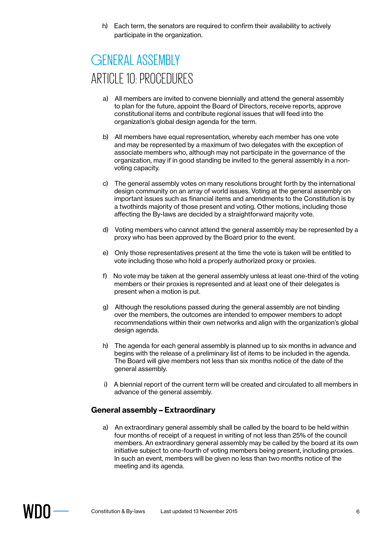h) Each term, the senators are required to confirm their availability to actively participate in the organization.

# GENERAL ASSEMBLY ARTICLE 10: PROCEDURES

- a) All members are invited to convene biennially and attend the general assembly to plan for the future, appoint the Board of Directors, receive reports, approve constitutional items and contribute regional issues that will feed into the organization's global design agenda for the term.
- b) All members have equal representation, whereby each member has one vote and may be represented by a maximum of two delegates with the exception of associate members who, although may not participate in the governance of the organization, may if in good standing be invited to the general assembly in a nonvoting capacity.
- c) The general assembly votes on many resolutions brought forth by the international design community on an array of world issues. Voting at the general assembly on important issues such as financial items and amendments to the Constitution is by a twothirds majority of those present and voting. Other motions, including those affecting the By-laws are decided by a straightforward majority vote.
- d) Voting members who cannot attend the general assembly may be represented by a proxy who has been approved by the Board prior to the event.
- e) Only those representatives present at the time the vote is taken will be entitled to vote including those who hold a properly authorized proxy or proxies.
- f) No vote may be taken at the general assembly unless at least one-third of the voting members or their proxies is represented and at least one of their delegates is present when a motion is put.
- g) Although the resolutions passed during the general assembly are not binding over the members, the outcomes are intended to empower members to adopt recommendations within their own networks and align with the organization's global design agenda.
- h) The agenda for each general assembly is planned up to six months in advance and begins with the release of a preliminary list of items to be included in the agenda. The Board will give members not less than six months notice of the date of the general assembly.
- i) A biennial report of the current term will be created and circulated to all members in advance of the general assembly.

#### **General assembly – Extraordinary**

a) An extraordinary general assembly shall be called by the board to be held within four months of receipt of a request in writing of not less than 25% of the council members. An extraordinary general assembly may be called by the board at its own initiative subject to one-fourth of voting members being present, including proxies. In such an event, members will be given no less than two months notice of the meeting and its agenda.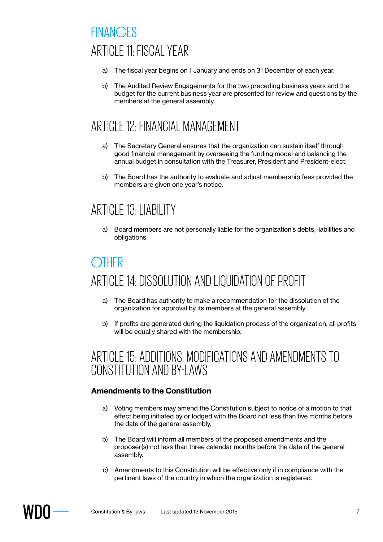# **FINANCES** ARTICLE 11: FISCAL YEAR

- a) The fiscal year begins on 1 January and ends on 31 December of each year.
- b) The Audited Review Engagements for the two preceding business years and the budget for the current business year are presented for review and questions by the members at the general assembly.

# ARTICLE 12: FINANCIAL MANAGEMENT

- a) The Secretary General ensures that the organization can sustain itself through good financial management by overseeing the funding model and balancing the annual budget in consultation with the Treasurer, President and President-elect.
- b) The Board has the authority to evaluate and adjust membership fees provided the members are given one year's notice.

# ARTICLE 13: LIABILITY

a) Board members are not personally liable for the organization's debts, liabilities and obligations.

# **OTHER** ARTICLE 14: DISSOLUTION AND LIQUIDATION OF PROFIT

- a) The Board has authority to make a recommendation for the dissolution of the organization for approval by its members at the general assembly.
- b) If profits are generated during the liquidation process of the organization, all profits will be equally shared with the membership.

## ARTICLE 15: ADDITIONS, MODIFICATIONS AND AMENDMENTS TO CONSTITUTION AND BY-LAWS

## **Amendments to the Constitution**

- a) Voting members may amend the Constitution subject to notice of a motion to that effect being initiated by or lodged with the Board not less than five months before the date of the general assembly.
- b) The Board will inform all members of the proposed amendments and the proposer(s) not less than three calendar months before the date of the general assembly.
- c) Amendments to this Constitution will be effective only if in compliance with the pertinent laws of the country in which the organization is registered.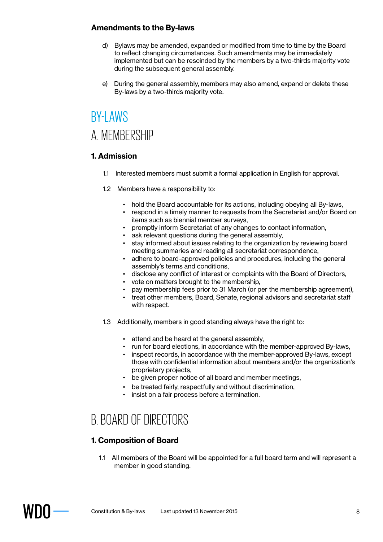## **Amendments to the By-laws**

- d) Bylaws may be amended, expanded or modified from time to time by the Board to reflect changing circumstances. Such amendments may be immediately implemented but can be rescinded by the members by a two-thirds majority vote during the subsequent general assembly.
- e) During the general assembly, members may also amend, expand or delete these By-laws by a two-thirds majority vote.

# **BY-LAWS** A. MEMBERSHIP

#### **1. Admission**

- 1.1 Interested members must submit a formal application in English for approval.
- 1.2 Members have a responsibility to:
	- hold the Board accountable for its actions, including obeying all By-laws,
	- respond in a timely manner to requests from the Secretariat and/or Board on items such as biennial member surveys,
	- promptly inform Secretariat of any changes to contact information,
	- ask relevant questions during the general assembly,
	- stay informed about issues relating to the organization by reviewing board meeting summaries and reading all secretariat correspondence,
	- adhere to board-approved policies and procedures, including the general assembly's terms and conditions,
	- disclose any conflict of interest or complaints with the Board of Directors,
	- vote on matters brought to the membership,
	- pay membership fees prior to 31 March (or per the membership agreement),
	- treat other members, Board, Senate, regional advisors and secretariat staff with respect.
- 1.3 Additionally, members in good standing always have the right to:
	- attend and be heard at the general assembly,
	- run for board elections, in accordance with the member-approved By-laws,
	- inspect records, in accordance with the member-approved By-laws, except those with confidential information about members and/or the organization's proprietary projects,
	- be given proper notice of all board and member meetings,
	- be treated fairly, respectfully and without discrimination.
	- insist on a fair process before a termination.

# B. BOARD OF DIRECTORS

## **1. Composition of Board**

1.1 All members of the Board will be appointed for a full board term and will represent a member in good standing.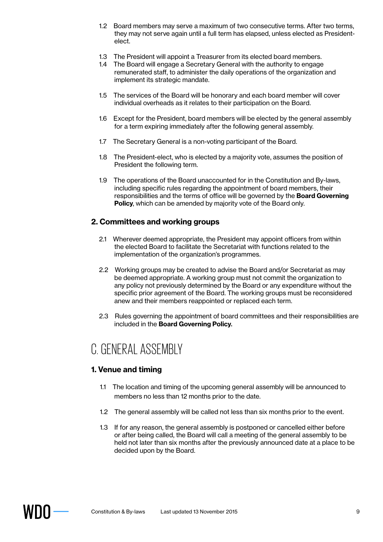- 1.2 Board members may serve a maximum of two consecutive terms. After two terms, they may not serve again until a full term has elapsed, unless elected as Presidentelect.
- 1.3 The President will appoint a Treasurer from its elected board members.
- 1.4 The Board will engage a Secretary General with the authority to engage remunerated staff, to administer the daily operations of the organization and implement its strategic mandate.
- 1.5 The services of the Board will be honorary and each board member will cover individual overheads as it relates to their participation on the Board.
- 1.6 Except for the President, board members will be elected by the general assembly for a term expiring immediately after the following general assembly.
- 1.7 The Secretary General is a non-voting participant of the Board.
- 1.8 The President-elect, who is elected by a majority vote, assumes the position of President the following term.
- 1.9 The operations of the Board unaccounted for in the Constitution and By-laws, including specific rules regarding the appointment of board members, their responsibilities and the terms of office will be governed by the **Board Governing Policy**, which can be amended by majority vote of the Board only.

## **2. Committees and working groups**

- 2.1 Wherever deemed appropriate, the President may appoint officers from within the elected Board to facilitate the Secretariat with functions related to the implementation of the organization's programmes.
- 2.2 Working groups may be created to advise the Board and/or Secretariat as may be deemed appropriate. A working group must not commit the organization to any policy not previously determined by the Board or any expenditure without the specific prior agreement of the Board. The working groups must be reconsidered anew and their members reappointed or replaced each term.
- 2.3 Rules governing the appointment of board committees and their responsibilities are included in the **Board Governing Policy**.

## C. GENERAL ASSEMBLY

## **1. Venue and timing**

- 1.1 The location and timing of the upcoming general assembly will be announced to members no less than 12 months prior to the date.
- 1.2 The general assembly will be called not less than six months prior to the event.
- 1.3 If for any reason, the general assembly is postponed or cancelled either before or after being called, the Board will call a meeting of the general assembly to be held not later than six months after the previously announced date at a place to be decided upon by the Board.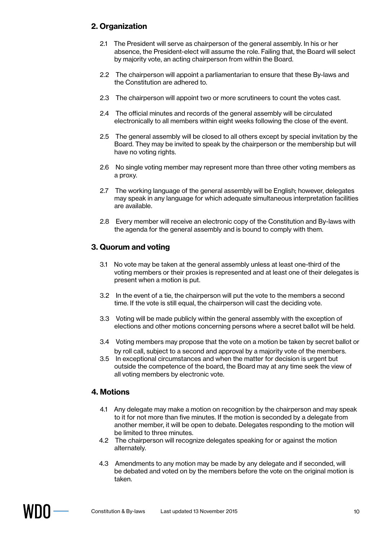## **2. Organization**

- 2.1 The President will serve as chairperson of the general assembly. In his or her absence, the President-elect will assume the role. Failing that, the Board will select by majority vote, an acting chairperson from within the Board.
- 2.2 The chairperson will appoint a parliamentarian to ensure that these By-laws and the Constitution are adhered to.
- 2.3 The chairperson will appoint two or more scrutineers to count the votes cast.
- 2.4 The official minutes and records of the general assembly will be circulated electronically to all members within eight weeks following the close of the event.
- 2.5 The general assembly will be closed to all others except by special invitation by the Board. They may be invited to speak by the chairperson or the membership but will have no voting rights.
- 2.6 No single voting member may represent more than three other voting members as a proxy.
- 2.7 The working language of the general assembly will be English; however, delegates may speak in any language for which adequate simultaneous interpretation facilities are available.
- 2.8 Every member will receive an electronic copy of the Constitution and By-laws with the agenda for the general assembly and is bound to comply with them.

#### **3. Quorum and voting**

- 3.1 No vote may be taken at the general assembly unless at least one-third of the voting members or their proxies is represented and at least one of their delegates is present when a motion is put.
- 3.2 In the event of a tie, the chairperson will put the vote to the members a second time. If the vote is still equal, the chairperson will cast the deciding vote.
- 3.3 Voting will be made publicly within the general assembly with the exception of elections and other motions concerning persons where a secret ballot will be held.
- 3.4 Voting members may propose that the vote on a motion be taken by secret ballot or by roll call, subject to a second and approval by a majority vote of the members.
- 3.5 In exceptional circumstances and when the matter for decision is urgent but outside the competence of the board, the Board may at any time seek the view of all voting members by electronic vote.

#### **4. Motions**

- 4.1 Any delegate may make a motion on recognition by the chairperson and may speak to it for not more than five minutes. If the motion is seconded by a delegate from another member, it will be open to debate. Delegates responding to the motion will be limited to three minutes.
- 4.2 The chairperson will recognize delegates speaking for or against the motion alternately.
- 4.3 Amendments to any motion may be made by any delegate and if seconded, will be debated and voted on by the members before the vote on the original motion is taken.